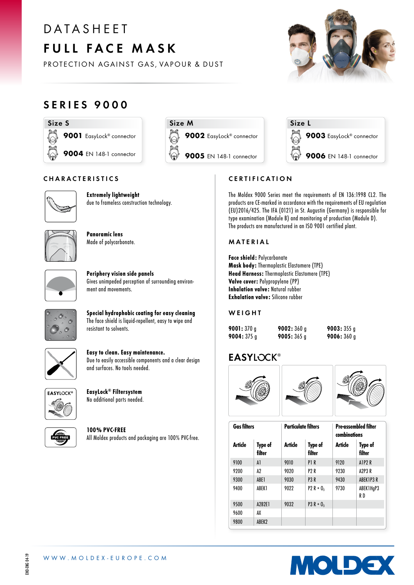# D A T A S H F F T FULL FACE MASK

PROTECTION AGAINST GAS, VAPOUR & DUST

# SERIES 9000







9003 EasyLock® connector

**9006** EN 148-1 connector

# **CERTIFICATION**

The Moldex 9000 Series meet the requirements of EN 136:1998 CL2. The products are CE-marked in accordance with the requirements of EU regulation (EU)2016/425. The IFA (0121) in St. Augustin (Germany) is responsible for type examination (Module B) and monitoring of production (Module D). The products are manufactured in an ISO 9001 certified plant.

Size L

#### MATERIAL

Face shield: Polycarbonate Mask body: Thermoplastic Elastomere (TPE) Head Harness: Thermoplastic Elastomere (TPE) Valve cover: Polypropylene (PP) Inhalation valve: Natural rubber Exhalation valve: Silicone rubber

### **WEIGHT**

| 9001: $370q$  | 9002: $360q$  | 9003: $355g$ |
|---------------|---------------|--------------|
| 9004: $375 g$ | 9005: $365 g$ | 9006:360g    |

# **EASYLOCK®**



| <b>Gas filters</b> |                          | <b>Particulate filters</b> |                   | <b>Pre-assembled filter</b><br>combinations |                          |
|--------------------|--------------------------|----------------------------|-------------------|---------------------------------------------|--------------------------|
| Article            | <b>Type of</b><br>filter | Article                    | Type of<br>filter | Article                                     | <b>Type of</b><br>filter |
| 9100               | A1                       | 9010                       | P <sub>1</sub> R  | 9120                                        | A1P <sub>2</sub> R       |
| 9200               | Δ2                       | 9020                       | P2 R              | 9230                                        | A2P3R                    |
| 9300               | ABE1                     | 9030                       | P <sub>3</sub> R  | 9430                                        | ABEK1P3 R                |
| 9400               | ABEK1                    | 9022                       | $P2 R + 0_3$      | 9730                                        | ABEK1HqP3<br>R D         |
| 9500               | A2B2E1                   | 9032                       | $P3 R + 0_3$      |                                             |                          |
| 9600               | AX                       |                            |                   |                                             |                          |
| 9800               | ABEK2                    |                            |                   |                                             |                          |



### CHARACTERISTICS



Extremely lightweight due to frameless construction technology.



Panoramic lens Made of polycarbonate.



Periphery vision side panels Gives unimpeded perception of surrounding environment and movements.



Special hydrophobic coating for easy cleaning The face shield is liquid-repellent, easy to wipe and resistant to solvents.



Easy to clean. Easy maintenance. Due to easily accessible components and a clear design and surfaces. No tools needed.



EasyLock® Filtersystem No additional parts needed.



100% PVC-FREE All Moldex products and packaging are 100% PVC-free.